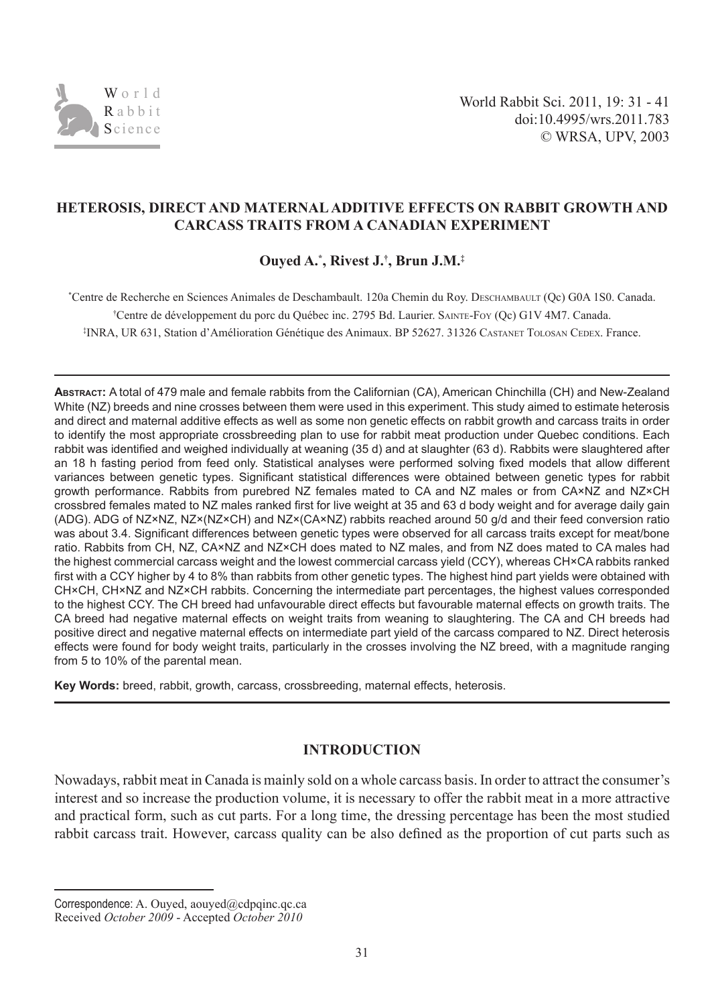

## **HETEROSIS, DIRECT AND MATERNAL ADDITIVE EFFECTS ON RABBIT GROWTH AND CARCASS TRAITS FROM A CANADIAN EXPERIMENT**

# **Ouyed A.\* , Rivest J.† , Brun J.M.‡**

\* Centre de Recherche en Sciences Animales de Deschambault. 120a Chemin du Roy. descHambault (Qc) G0A 1S0. Canada. † Centre de développement du porc du Québec inc. 2795 Bd. Laurier. sainte-fOy (Qc) G1V 4M7. Canada. ‡ INRA, UR 631, Station d'Amélioration Génétique des Animaux. BP 52627. 31326 castanet tOlOsan cedeX. France.

**ABSTRACT:** A total of 479 male and female rabbits from the Californian (CA), American Chinchilla (CH) and New-Zealand White (NZ) breeds and nine crosses between them were used in this experiment. This study aimed to estimate heterosis and direct and maternal additive effects as well as some non genetic effects on rabbit growth and carcass traits in order to identify the most appropriate crossbreeding plan to use for rabbit meat production under Quebec conditions. Each rabbit was identified and weighed individually at weaning (35 d) and at slaughter (63 d). Rabbits were slaughtered after an 18 h fasting period from feed only. Statistical analyses were performed solving fixed models that allow different variances between genetic types. Significant statistical differences were obtained between genetic types for rabbit growth performance. Rabbits from purebred NZ females mated to CA and NZ males or from CA×NZ and NZ×CH crossbred females mated to NZ males ranked first for live weight at 35 and 63 d body weight and for average daily gain (ADG). ADG of NZ×NZ, NZ×(NZ×CH) and NZ×(CA×NZ) rabbits reached around 50 g/d and their feed conversion ratio was about 3.4. Significant differences between genetic types were observed for all carcass traits except for meat/bone ratio. Rabbits from CH, NZ, CA×NZ and NZ×CH does mated to NZ males, and from NZ does mated to CA males had the highest commercial carcass weight and the lowest commercial carcass yield (CCY), whereas CH×CA rabbits ranked first with a CCY higher by 4 to 8% than rabbits from other genetic types. The highest hind part yields were obtained with CH×CH, CH×NZ and NZ×CH rabbits. Concerning the intermediate part percentages, the highest values corresponded to the highest CCY. The CH breed had unfavourable direct effects but favourable maternal effects on growth traits. The CA breed had negative maternal effects on weight traits from weaning to slaughtering. The CA and CH breeds had positive direct and negative maternal effects on intermediate part yield of the carcass compared to NZ. Direct heterosis effects were found for body weight traits, particularly in the crosses involving the NZ breed, with a magnitude ranging from 5 to 10% of the parental mean.

**Key Words:** breed, rabbit, growth, carcass, crossbreeding, maternal effects, heterosis.

## **INTRODUCTION**

Nowadays, rabbit meat in Canada is mainly sold on a whole carcass basis. In order to attract the consumer's interest and so increase the production volume, it is necessary to offer the rabbit meat in a more attractive and practical form, such as cut parts. For a long time, the dressing percentage has been the most studied rabbit carcass trait. However, carcass quality can be also defined as the proportion of cut parts such as

Correspondence: A. Ouyed, aouyed@cdpqinc.qc.ca Received *October 2009* - Accepted *October 2010*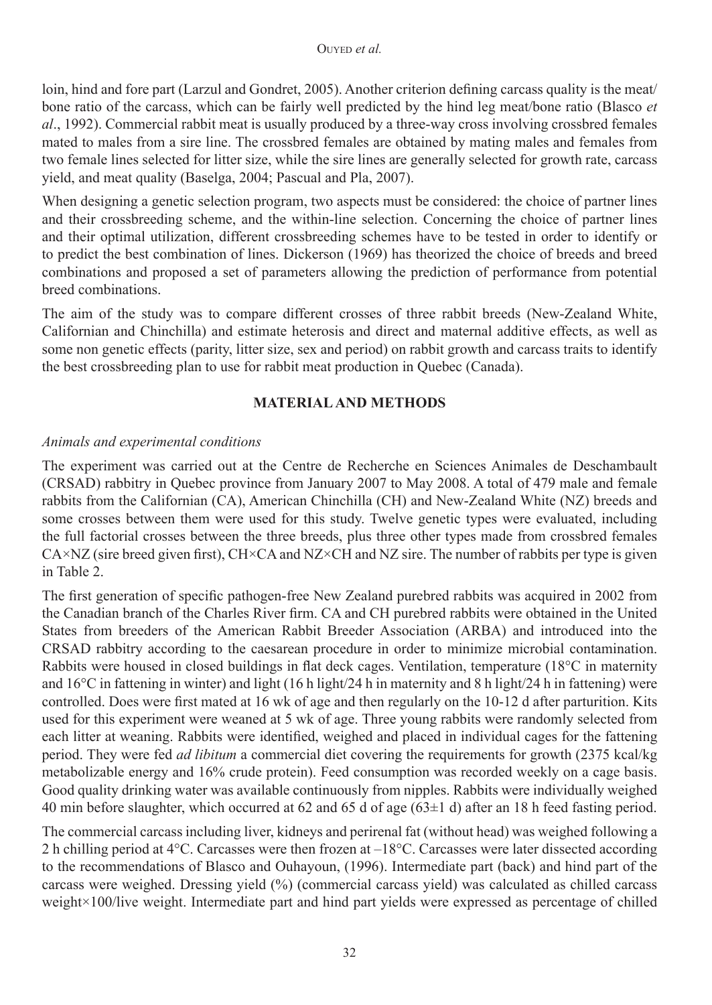loin, hind and fore part (Larzul and Gondret, 2005). Another criterion defining carcass quality is the meat/ bone ratio of the carcass, which can be fairly well predicted by the hind leg meat/bone ratio (Blasco *et al*., 1992). Commercial rabbit meat is usually produced by a three-way cross involving crossbred females mated to males from a sire line. The crossbred females are obtained by mating males and females from two female lines selected for litter size, while the sire lines are generally selected for growth rate, carcass yield, and meat quality (Baselga, 2004; Pascual and Pla, 2007).

When designing a genetic selection program, two aspects must be considered: the choice of partner lines and their crossbreeding scheme, and the within-line selection. Concerning the choice of partner lines and their optimal utilization, different crossbreeding schemes have to be tested in order to identify or to predict the best combination of lines. Dickerson (1969) has theorized the choice of breeds and breed combinations and proposed a set of parameters allowing the prediction of performance from potential breed combinations.

The aim of the study was to compare different crosses of three rabbit breeds (New-Zealand White, Californian and Chinchilla) and estimate heterosis and direct and maternal additive effects, as well as some non genetic effects (parity, litter size, sex and period) on rabbit growth and carcass traits to identify the best crossbreeding plan to use for rabbit meat production in Quebec (Canada).

## **MATERIAL AND METHODS**

## *Animals and experimental conditions*

The experiment was carried out at the Centre de Recherche en Sciences Animales de Deschambault (CRSAD) rabbitry in Quebec province from January 2007 to May 2008. A total of 479 male and female rabbits from the Californian (CA), American Chinchilla (CH) and New-Zealand White (NZ) breeds and some crosses between them were used for this study. Twelve genetic types were evaluated, including the full factorial crosses between the three breeds, plus three other types made from crossbred females  $C_A \times NZ$  (sire breed given first),  $CH \times CA$  and  $NZ \times CH$  and  $NZ$  sire. The number of rabbits per type is given in Table 2.

The first generation of specific pathogen-free New Zealand purebred rabbits was acquired in 2002 from the Canadian branch of the Charles River firm. CA and CH purebred rabbits were obtained in the United States from breeders of the American Rabbit Breeder Association (ARBA) and introduced into the CRSAD rabbitry according to the caesarean procedure in order to minimize microbial contamination. Rabbits were housed in closed buildings in flat deck cages. Ventilation, temperature (18°C in maternity and 16°C in fattening in winter) and light (16 h light/24 h in maternity and 8 h light/24 h in fattening) were controlled. Does were first mated at 16 wk of age and then regularly on the 10-12 d after parturition. Kits used for this experiment were weaned at 5 wk of age. Three young rabbits were randomly selected from each litter at weaning. Rabbits were identified, weighed and placed in individual cages for the fattening period. They were fed *ad libitum* a commercial diet covering the requirements for growth (2375 kcal/kg metabolizable energy and 16% crude protein). Feed consumption was recorded weekly on a cage basis. Good quality drinking water was available continuously from nipples. Rabbits were individually weighed 40 min before slaughter, which occurred at 62 and 65 d of age (63±1 d) after an 18 h feed fasting period.

The commercial carcass including liver, kidneys and perirenal fat (without head) was weighed following a 2 h chilling period at 4°C. Carcasses were then frozen at –18°C. Carcasses were later dissected according to the recommendations of Blasco and Ouhayoun, (1996). Intermediate part (back) and hind part of the carcass were weighed. Dressing yield (%) (commercial carcass yield) was calculated as chilled carcass weight×100/live weight. Intermediate part and hind part yields were expressed as percentage of chilled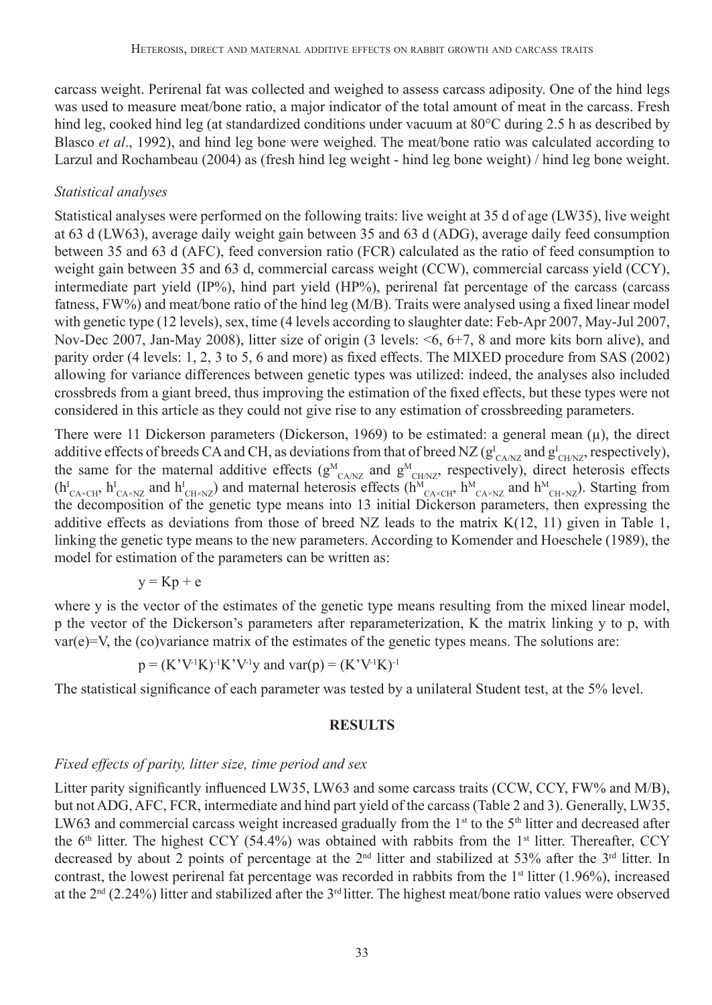carcass weight. Perirenal fat was collected and weighed to assess carcass adiposity. One of the hind legs was used to measure meat/bone ratio, a major indicator of the total amount of meat in the carcass. Fresh hind leg, cooked hind leg (at standardized conditions under vacuum at 80°C during 2.5 h as described by Blasco *et al*., 1992), and hind leg bone were weighed. The meat/bone ratio was calculated according to Larzul and Rochambeau (2004) as (fresh hind leg weight - hind leg bone weight) / hind leg bone weight.

### *Statistical analyses*

Statistical analyses were performed on the following traits: live weight at 35 d of age (LW35), live weight at 63 d (LW63), average daily weight gain between 35 and 63 d (ADG), average daily feed consumption between 35 and 63 d (AFC), feed conversion ratio (FCR) calculated as the ratio of feed consumption to weight gain between 35 and 63 d, commercial carcass weight (CCW), commercial carcass yield (CCY), intermediate part yield (IP%), hind part yield (HP%), perirenal fat percentage of the carcass (carcass fatness, FW%) and meat/bone ratio of the hind leg (M/B). Traits were analysed using a fixed linear model with genetic type (12 levels), sex, time (4 levels according to slaughter date: Feb-Apr 2007, May-Jul 2007, Nov-Dec 2007, Jan-May 2008), litter size of origin (3 levels: <6, 6+7, 8 and more kits born alive), and parity order (4 levels: 1, 2, 3 to 5, 6 and more) as fixed effects. The MIXED procedure from SAS (2002) allowing for variance differences between genetic types was utilized: indeed, the analyses also included crossbreds from a giant breed, thus improving the estimation of the fixed effects, but these types were not considered in this article as they could not give rise to any estimation of crossbreeding parameters.

There were 11 Dickerson parameters (Dickerson, 1969) to be estimated: a general mean  $(\mu)$ , the direct additive effects of breeds CA and CH, as deviations from that of breed NZ ( $g_{CAN/Z}^I$  and  $g_{CHNZ}^I$ , respectively), the same for the maternal additive effects ( $g^M_{CANZ}$  and  $g^M_{CHNZ}$ , respectively), direct heterosis effects  $(h_{CA\times CH}^I, h_{CA\times NZ}^I$  and  $h_{CH\times NZ}^I$  and maternal heterosis effects  $(h_{CA\times CH}^M, h_{CA\times NZ}^M$  and  $h_{CH\times NZ}^M$ . Starting from the decomposition of the genetic type means into 13 initial Dickerson parameters, then expressing the additive effects as deviations from those of breed NZ leads to the matrix K(12, 11) given in Table 1, linking the genetic type means to the new parameters. According to Komender and Hoeschele (1989), the model for estimation of the parameters can be written as:

$$
y = Kp + e
$$

where y is the vector of the estimates of the genetic type means resulting from the mixed linear model, p the vector of the Dickerson's parameters after reparameterization, K the matrix linking y to p, with  $var(e)=V$ , the (co)variance matrix of the estimates of the genetic types means. The solutions are:

$$
p = (K'V-1K)-1K'V-1y
$$
 and var $(p) = (K'V-1K)-1$ 

The statistical significance of each parameter was tested by a unilateral Student test, at the 5% level.

### **RESULTS**

### *Fixed effects of parity, litter size, time period and sex*

Litter parity significantly influenced LW35, LW63 and some carcass traits (CCW, CCY, FW% and M/B), but not ADG, AFC, FCR, intermediate and hind part yield of the carcass (Table 2 and 3). Generally, LW35, LW63 and commercial carcass weight increased gradually from the 1<sup>st</sup> to the 5<sup>th</sup> litter and decreased after the 6<sup>th</sup> litter. The highest CCY (54.4%) was obtained with rabbits from the 1<sup>st</sup> litter. Thereafter, CCY decreased by about 2 points of percentage at the  $2<sup>nd</sup>$  litter and stabilized at 53% after the  $3<sup>nd</sup>$  litter. In contrast, the lowest perirenal fat percentage was recorded in rabbits from the  $1<sup>st</sup>$  litter (1.96%), increased at the  $2<sup>nd</sup>$  (2.24%) litter and stabilized after the  $3<sup>rd</sup>$  litter. The highest meat/bone ratio values were observed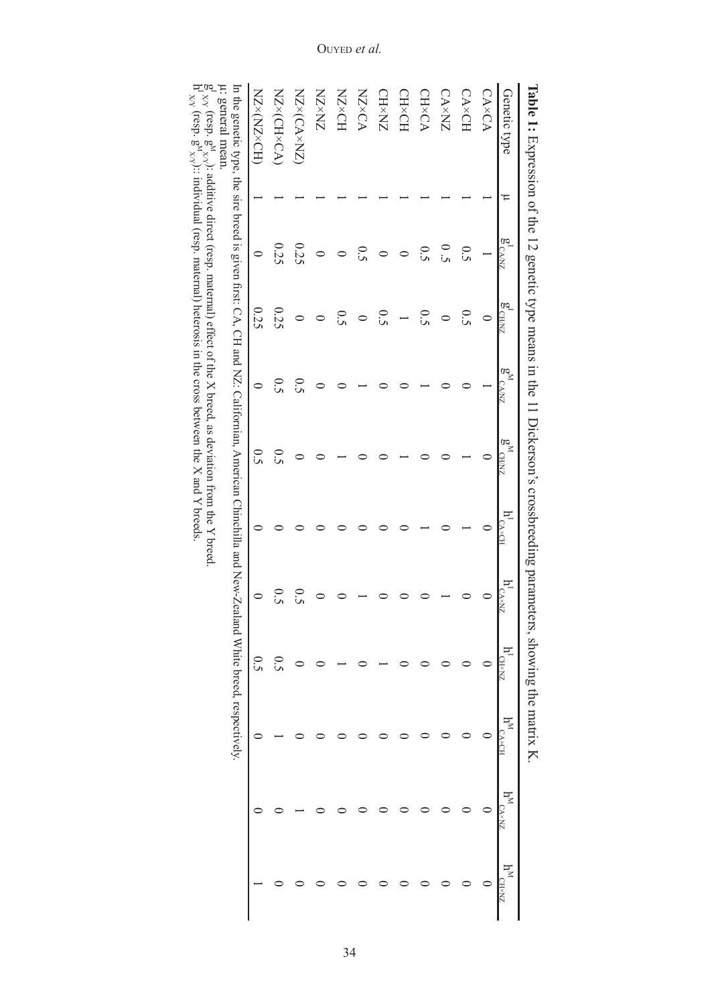| Genetic type                                                                                                                                                                                                     | Έ | $g^I_{CANZ}$  | $\frac{1}{9}$ CH/KZ | $\frac{60}{5}$<br><b>CA/NZ</b> | $\sum_{\alpha\leq n}$<br>CH/NZ | $h^I_{\rm C\Delta \times CH}$ | $h^I_{\rm C_A\times NZ}$ | $h^I_{\rm CH\times NL}$ | F×, | $\mathbf{h}^{\text{M}}_{\text{CANZ}} \qquad \mathbf{1}$ |  |
|------------------------------------------------------------------------------------------------------------------------------------------------------------------------------------------------------------------|---|---------------|---------------------|--------------------------------|--------------------------------|-------------------------------|--------------------------|-------------------------|-----|---------------------------------------------------------|--|
| CA×CA                                                                                                                                                                                                            |   |               |                     |                                |                                |                               |                          |                         |     |                                                         |  |
| CA×CH                                                                                                                                                                                                            |   | 0.5           | 0.5                 |                                |                                |                               |                          |                         |     |                                                         |  |
| <b>CA×NZ</b>                                                                                                                                                                                                     |   | $\frac{0}{2}$ |                     |                                |                                |                               |                          |                         |     |                                                         |  |
| CH×CA                                                                                                                                                                                                            |   | 0.5           | 0.5                 |                                |                                |                               |                          |                         |     |                                                         |  |
| CH×CH                                                                                                                                                                                                            |   |               |                     |                                |                                |                               |                          |                         |     |                                                         |  |
| <b>CH×NZ</b>                                                                                                                                                                                                     |   |               | 0.5                 |                                |                                |                               |                          |                         |     |                                                         |  |
| <b>NZ×CA</b>                                                                                                                                                                                                     |   | $\tilde{S}$   |                     |                                |                                |                               |                          |                         |     |                                                         |  |
| HO×ZN                                                                                                                                                                                                            |   |               | $\overline{c}$      |                                |                                |                               |                          |                         |     |                                                         |  |
| ZNXZN                                                                                                                                                                                                            |   |               |                     |                                |                                |                               |                          |                         |     |                                                         |  |
| NZ×(CA×NZ)                                                                                                                                                                                                       |   | 0.25          |                     | 0.5                            |                                |                               | 0.5                      |                         |     |                                                         |  |
| NZ×(CH×CA)                                                                                                                                                                                                       |   | 0.25          | 0.25                | 0.5                            | 0.5                            |                               | 0.5                      | $\overline{c}$          |     |                                                         |  |
| MZ×ZN> <zn< td=""><td></td><td><math>\circ</math></td><td>0.25</td><td><math>\circ</math></td><td><math>\frac{0}{2}</math></td><td></td><td><math>\circ</math></td><td>0.5</td><td></td><td></td><td></td></zn<> |   | $\circ$       | 0.25                | $\circ$                        | $\frac{0}{2}$                  |                               | $\circ$                  | 0.5                     |     |                                                         |  |

ia<br>X<br>X  $(\text{resp. } g^M)$ 

 $g'_{xy'}$  (resp.  $g''_{xy}$ ): additive direct (resp. maternal) effect of the X breed, as deviation from the Y breed.  $h'_{xy'}$  (resp. g,  $g''_{xy}$ ):: individual (resp. maternal) heterosis in the cross between the X and Y breeds.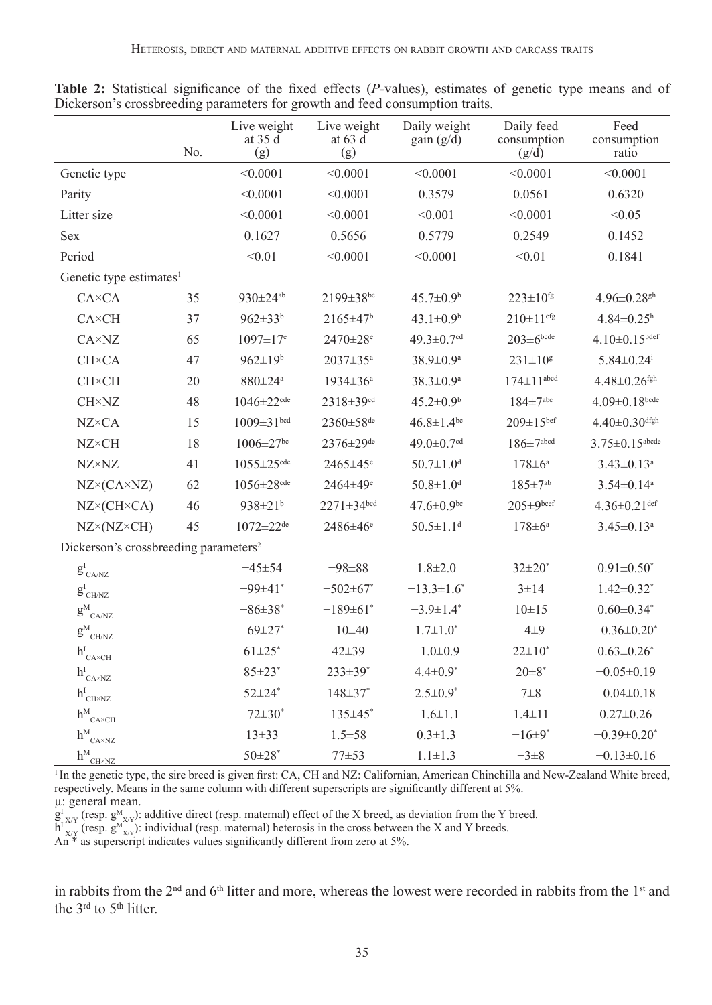|                                                   | No. | Live weight<br>at 35 d<br>(g) | Live weight<br>at 63 d<br>(g) | Daily weight<br>$gain(g/\bar{d})$ | Daily feed<br>consumption<br>(g/d) | Feed<br>consumption<br>ratio   |
|---------------------------------------------------|-----|-------------------------------|-------------------------------|-----------------------------------|------------------------------------|--------------------------------|
| Genetic type                                      |     | < 0.0001                      | < 0.0001                      | < 0.0001                          | < 0.0001                           | < 0.0001                       |
| Parity                                            |     | < 0.0001                      | < 0.0001                      | 0.3579                            | 0.0561                             | 0.6320                         |
| Litter size                                       |     | < 0.0001                      | < 0.0001                      | < 0.001                           | < 0.0001                           | < 0.05                         |
| Sex                                               |     | 0.1627                        | 0.5656                        | 0.5779                            | 0.2549                             | 0.1452                         |
| Period                                            |     | < 0.01                        | < 0.0001                      | < 0.0001                          | < 0.01                             | 0.1841                         |
| Genetic type estimates <sup>1</sup>               |     |                               |                               |                                   |                                    |                                |
| $C A \times C A$                                  | 35  | $930 \pm 24^{ab}$             | 2199±38bc                     | $45.7 \pm 0.9^b$                  | $223 \pm 10^{fg}$                  | $4.96 \pm 0.28$ <sup>gh</sup>  |
| <b>CA</b> ×CH                                     | 37  | $962 \pm 33^{b}$              | $2165 \pm 47$ <sup>b</sup>    | $43.1 \pm 0.9^b$                  | $210 \pm 11$ <sup>efg</sup>        | $4.84 \pm 0.25$ <sup>h</sup>   |
| $C A \times N Z$                                  | 65  | $1097 \pm 17$ <sup>e</sup>    | $2470 \pm 28$ <sup>e</sup>    | $49.3 \pm 0.7$ <sup>cd</sup>      | $203 \pm 6$ bcde                   | $4.10 \pm 0.15$ bdef           |
| <b>CH×CA</b>                                      | 47  | $962 \pm 19^{b}$              | 2037±35 <sup>a</sup>          | $38.9 \pm 0.9$ <sup>a</sup>       | $231 \pm 10^8$                     | $5.84 \pm 0.24$ <sup>i</sup>   |
| <b>CH×CH</b>                                      | 20  | 880±24 <sup>a</sup>           | $1934 \pm 36^a$               | $38.3 \pm 0.9$ <sup>a</sup>       | $174 \pm 11$ <sup>abcd</sup>       | $4.48 \pm 0.26$ <sup>fgh</sup> |
| <b>CH</b> ×NZ                                     | 48  | $1046 \pm 22$ <sup>cde</sup>  | 2318±39 <sup>cd</sup>         | $45.2 \pm 0.9^b$                  | $184 \pm 7$ abc                    | $4.09 \pm 0.18^{bcde}$         |
| <b>NZ×CA</b>                                      | 15  | $1009 \pm 31$ bcd             | 2360±58 <sup>de</sup>         | $46.8 \pm 1.4$ <sup>bc</sup>      | $209 \pm 15^{ber}$                 | $4.40 \pm 0.30$ dfgh           |
| <b>NZ×CH</b>                                      | 18  | $1006 \pm 27$ <sup>bc</sup>   | 2376±29 <sup>de</sup>         | 49.0 $\pm$ 0.7 $\rm{^{cd}}$       | $186 \pm 7$ abcd                   | $3.75 \pm 0.15$ abcde          |
| <b>NZ×NZ</b>                                      | 41  | $1055 \pm 25$ cde             | 2465±45 <sup>e</sup>          | $50.7 \pm 1.0$ <sup>d</sup>       | $178 \pm 6^a$                      | $3.43 \pm 0.13$ <sup>a</sup>   |
| $NZ \times (CA \times NZ)$                        | 62  | $1056 \pm 28$ <sup>cde</sup>  | 2464±49 <sup>e</sup>          | $50.8 \pm 1.0$ <sup>d</sup>       | $185 \pm 7^{ab}$                   | $3.54 \pm 0.14$ <sup>a</sup>   |
| $NZ \times (CH \times CA)$                        | 46  | $938 \pm 21^{b}$              | $2271 \pm 34^{bcd}$           | $47.6 \pm 0.9$ <sup>bc</sup>      | $205 \pm 9^{bcef}$                 | $4.36 \pm 0.21$ def            |
| NZ×(NZ×CH)                                        | 45  | $1072 \pm 22$ <sup>de</sup>   | 2486±46 <sup>e</sup>          | $50.5 \pm 1.1$ <sup>d</sup>       | $178 \pm 6^a$                      | $3.45 \pm 0.13$ <sup>a</sup>   |
| Dickerson's crossbreeding parameters <sup>2</sup> |     |                               |                               |                                   |                                    |                                |
| $g^{\rm I}_{\rm CA/NZ}$                           |     | $-45\pm54$                    | $-98 \pm 88$                  | $1.8 \pm 2.0$                     | $32 \pm 20^*$                      | $0.91 \pm 0.50^*$              |
| $g^I_{\hbox{\tiny CH/NZ}}$                        |     | –99±41*                       | $-502 \pm 67$ *               | $-13.3 \pm 1.6$ <sup>*</sup>      | $3 \pm 14$                         | $1.42 \pm 0.32$ <sup>*</sup>   |
| $g^{\rm M}_{\rm~CA/NZ}$                           |     | $-86 \pm 38^*$                | $-189\pm61$ *                 | $-3.9 \pm 1.4^*$                  | $10\pm 15$                         | $0.60 \pm 0.34$ *              |
| $g^{\text{M}}{}_{\text{CH/NZ}}$                   |     | $-69 \pm 27$ *                | $-10+40$                      | $1.7 \pm 1.0^*$                   | $-4+9$                             | $-0.36 \pm 0.20^*$             |
| $h^{I} _{\text{CA} \times \text{CH}}$             |     | $61 + 25$ *                   | $42 \pm 39$                   | $-1.0+0.9$                        | $22 \pm 10^*$                      | $0.63 \pm 0.26$ *              |
| $h^{I}_{\text{CA}\times\text{NZ}}$                |     | $85 \pm 23$ <sup>*</sup>      | 233±39*                       | $4.4 \pm 0.9^*$                   | $20 \pm 8^*$                       | $-0.05 \pm 0.19$               |
| $h^{I}_{\text{CH}\times\text{NZ}}$                |     | $52 \pm 24$ *                 | $148 \pm 37$ *                | $2.5 \pm 0.9^*$                   | $7\pm8$                            | $-0.04\pm0.18$                 |
| $h^{\text{M}}_{\text{CA} \times \text{CH}}$       |     | $-72 \pm 30^*$                | $-135+45$ *                   | $-1.6 \pm 1.1$                    | $1.4 \pm 11$                       | $0.27 \pm 0.26$                |
| $h^M$<br>$CA \times NZ$                           |     | $13 + 33$                     | $1.5 \pm 58$                  | $0.3 \pm 1.3$                     | $-16\pm9*$                         | $-0.39\pm0.20$ <sup>*</sup>    |
| $h^M$<br>CH×NZ                                    |     | $50 \pm 28$ *                 | $77 + 53$                     | $1.1 \pm 1.3$                     | $-3\pm 8$                          | $-0.13 \pm 0.16$               |

**Table 2:** Statistical significance of the fixed effects (*P-*values), estimates of genetic type means and of Dickerson's crossbreeding parameters for growth and feed consumption traits.

<sup>1</sup>In the genetic type, the sire breed is given first: CA, CH and NZ: Californian, American Chinchilla and New-Zealand White breed, respectively. Means in the same column with different superscripts are significantly different at 5%. µ: general mean.

 $g_{X/Y}^{I}$  (resp.  $g_{X/Y}^{M}$ ): additive direct (resp. maternal) effect of the X breed, as deviation from the Y breed.<br>h<sup>1</sup><sub>X/Y</sub> (resp.  $g_{X/Y}^{M}$ ): individual (resp. maternal) heterosis in the cross between the X and Y br

in rabbits from the 2<sup>nd</sup> and 6<sup>th</sup> litter and more, whereas the lowest were recorded in rabbits from the 1<sup>st</sup> and the 3<sup>rd</sup> to 5<sup>th</sup> litter.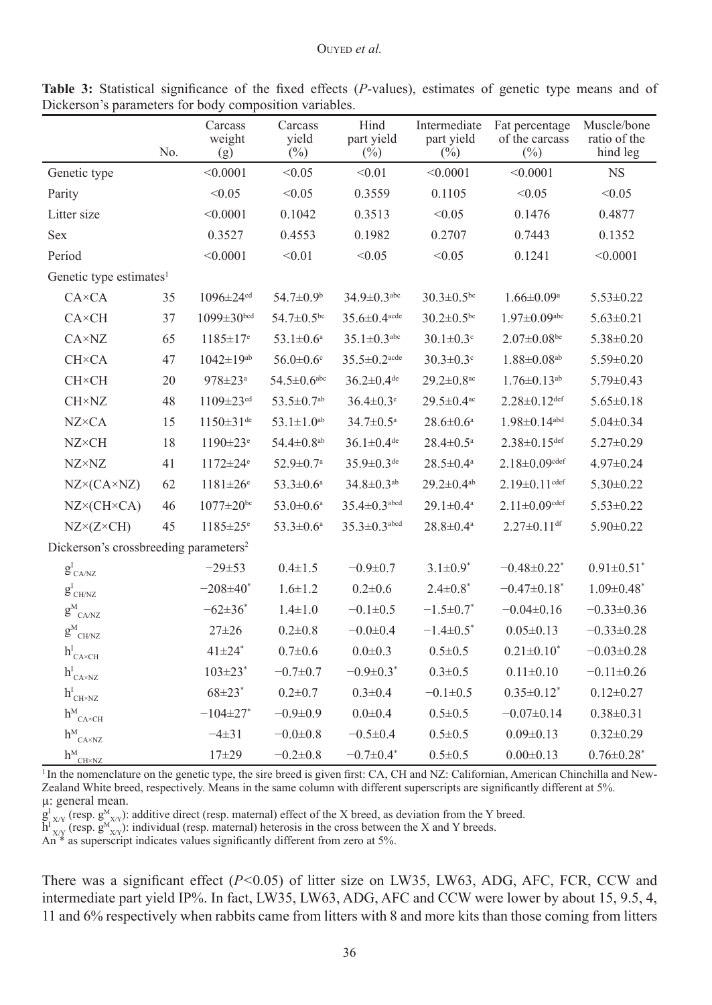|                                                    | No. | Carcass<br>weight<br>(g)    | Carcass<br>yield<br>(%)      | Hind<br>part yield<br>$(\frac{0}{0})$ | Intermediate<br>part yield<br>$(\%)$ | Fat percentage<br>of the carcass<br>$(\%)$ | Muscle/bone<br>ratio of the<br>hind leg |
|----------------------------------------------------|-----|-----------------------------|------------------------------|---------------------------------------|--------------------------------------|--------------------------------------------|-----------------------------------------|
| Genetic type                                       |     | < 0.0001                    | < 0.05                       | < 0.01                                | < 0.0001                             | < 0.0001                                   | <b>NS</b>                               |
| Parity                                             |     | < 0.05                      | < 0.05                       | 0.3559                                | 0.1105                               | < 0.05                                     | < 0.05                                  |
| Litter size                                        |     | < 0.0001                    | 0.1042                       | 0.3513                                | < 0.05                               | 0.1476                                     | 0.4877                                  |
| <b>Sex</b>                                         |     | 0.3527                      | 0.4553                       | 0.1982                                | 0.2707                               | 0.7443                                     | 0.1352                                  |
| Period                                             |     | < 0.0001                    | < 0.01                       | < 0.05                                | < 0.05                               | 0.1241                                     | < 0.0001                                |
| Genetic type estimates <sup>1</sup>                |     |                             |                              |                                       |                                      |                                            |                                         |
| $CA \times CA$                                     | 35  | $1096 \pm 24$ <sup>cd</sup> | 54.7±0.9 <sup>b</sup>        | $34.9 \pm 0.3$ <sup>abc</sup>         | $30.3 \pm 0.5$ bc                    | $1.66 \pm 0.09^a$                          | $5.53 \pm 0.22$                         |
| <b>CA</b> ×CH                                      | 37  | $1099 \pm 30^{bcd}$         | $54.7 \pm 0.5$ <sup>bc</sup> | $35.6 \pm 0.4$ <sup>acde</sup>        | $30.2 \pm 0.5$ <sup>bc</sup>         | $1.97 \pm 0.09$ abc                        | $5.63 \pm 0.21$                         |
| $C A \times N Z$                                   | 65  | $1185 \pm 17$ <sup>e</sup>  | $53.1 \pm 0.6^a$             | $35.1 \pm 0.3$ <sup>abc</sup>         | $30.1 \pm 0.3$ <sup>c</sup>          | $2.07 \pm 0.08$ be                         | $5.38 \pm 0.20$                         |
| <b>CH</b> × <b>CA</b>                              | 47  | $1042 \pm 19^{ab}$          | $56.0 \pm 0.6$ <sup>c</sup>  | $35.5 \pm 0.2$ <sup>acde</sup>        | $30.3 \pm 0.3$ <sup>c</sup>          | $1.88 \pm 0.08$ <sup>ab</sup>              | $5.59 \pm 0.20$                         |
| <b>CH×CH</b>                                       | 20  | $978 \pm 23$ <sup>a</sup>   | $54.5 \pm 0.6^{\rm abc}$     | $36.2 \pm 0.4$ de                     | $29.2 \pm 0.8$ <sup>ac</sup>         | $1.76 \pm 0.13$ <sup>ab</sup>              | $5.79 \pm 0.43$                         |
| <b>CH×NZ</b>                                       | 48  | $1109 \pm 23$ <sup>cd</sup> | $53.5 \pm 0.7$ <sup>ab</sup> | $36.4 \pm 0.3$ <sup>e</sup>           | $29.5 \pm 0.4$ <sup>ac</sup>         | $2.28 \pm 0.12$ def                        | $5.65 \pm 0.18$                         |
| $NZ \times CA$                                     | 15  | $1150 \pm 31$ <sup>de</sup> | $53.1 \pm 1.0^{ab}$          | $34.7 \pm 0.5^{\text{a}}$             | $28.6 \pm 0.6^a$                     | $1.98 \pm 0.14$ <sup>abd</sup>             | $5.04 \pm 0.34$                         |
| <b>NZ×CH</b>                                       | 18  | $1190 \pm 23$ <sup>e</sup>  | $54.4 \pm 0.8$ <sup>ab</sup> | $36.1 \pm 0.4$ <sup>de</sup>          | $28.4 \pm 0.5^a$                     | $2.38 \pm 0.15$ def                        | $5.27 \pm 0.29$                         |
| $NZ \times NZ$                                     | 41  | $1172 \pm 24$ <sup>e</sup>  | $52.9 \pm 0.7$ <sup>a</sup>  | $35.9 \pm 0.3$ <sup>de</sup>          | $28.5 \pm 0.4^a$                     | $2.18 \pm 0.09$ cdef                       | $4.97 \pm 0.24$                         |
| $NZ \times (CA \times NZ)$                         | 62  | $1181 \pm 26$ <sup>e</sup>  | $53.3 \pm 0.6^a$             | $34.8 \pm 0.3$ <sup>ab</sup>          | $29.2 \pm 0.4$ <sup>ab</sup>         | $2.19 \pm 0.11$ cdef                       | $5.30 \pm 0.22$                         |
| $NZ \times (CH \times CA)$                         | 46  | $1077 \pm 20^{bc}$          | $53.0 \pm 0.6^{\mathrm{a}}$  | $35.4 \pm 0.3$ <sup>abcd</sup>        | $29.1 \pm 0.4^a$                     | $2.11 \pm 0.09$ cdef                       | $5.53 \pm 0.22$                         |
| $NZ \times (Z \times CH)$                          | 45  | $1185 \pm 25$ <sup>e</sup>  | $53.3 \pm 0.6^a$             | $35.3 \pm 0.3$ abcd                   | $28.8 \pm 0.4$ <sup>a</sup>          | $2.27 \pm 0.11$ df                         | $5.90 \pm 0.22$                         |
| Dickerson's crossbreeding parameters <sup>2</sup>  |     |                             |                              |                                       |                                      |                                            |                                         |
| $g^{I}_{\text{CA/NZ}}$                             |     | $-29\pm53$                  | $0.4 \pm 1.5$                | $-0.9 \pm 0.7$                        | $3.1 \pm 0.9^*$                      | $-0.48 \pm 0.22$ <sup>*</sup>              | $0.91 \pm 0.51$ <sup>*</sup>            |
| $g^{\rm I}_{\rm \,CH/NZ}$                          |     | $-208 + 40^*$               | $1.6 \pm 1.2$                | $0.2 \pm 0.6$                         | $2.4 \pm 0.8^*$                      | $-0.47 \pm 0.18$ <sup>*</sup>              | $1.09 \pm 0.48$ <sup>*</sup>            |
| $g^M$ <sub>CA/NZ</sub>                             |     | $-62\pm36^*$                | $1.4 \pm 1.0$                | $-0.1 \pm 0.5$                        | $-1.5 \pm 0.7$ <sup>*</sup>          | $-0.04\pm0.16$                             | $-0.33 \pm 0.36$                        |
| $g^M_{CH/NZ}$                                      |     | $27 \pm 26$                 | $0.2 \pm 0.8$                | $-0.0 + 0.4$                          | $-1.4 \pm 0.5$ <sup>*</sup>          | $0.05 \pm 0.13$                            | $-0.33 \pm 0.28$                        |
| $h^{I}_{\text{CA}\times\text{CH}}$                 |     | $41\pm24$ <sup>*</sup>      | $0.7 + 0.6$                  | $0.0 \pm 0.3$                         | $0.5 \pm 0.5$                        | $0.21 \pm 0.10^*$                          | $-0.03 \pm 0.28$                        |
| $h^{I}_{\text{CA}\times\text{NZ}}$                 |     | $103 \pm 23$ <sup>*</sup>   | $-0.7 \pm 0.7$               | $-0.9 \pm 0.3$ <sup>*</sup>           | $0.3 \pm 0.5$                        | $0.11 \pm 0.10$                            | $-0.11 \pm 0.26$                        |
| $h^{I}_{\mathrm{CH}\times\mathrm{NZ}}$             |     | $68 \pm 23$ *               | $0.2 \pm 0.7$                | $0.3 \pm 0.4$                         | $-0.1 + 0.5$                         | $0.35 \pm 0.12$ *                          | $0.12 \pm 0.27$                         |
| $h^M$<br>$CA \times CH$                            |     | $-104 \pm 27$ *             | $-0.9 \pm 0.9$               | $0.0 + 0.4$                           | $0.5 \pm 0.5$                        | $-0.07 \pm 0.14$                           | $0.38 \pm 0.31$                         |
| $h^M$<br>$C A \times N Z$                          |     | $-4\pm31$                   | $-0.0 \pm 0.8$               | $-0.5 \pm 0.4$                        | $0.5 \pm 0.5$                        | $0.09 \pm 0.13$                            | $0.32 \pm 0.29$                         |
| $h^{\rm M}{}_{\rm CH \times \overline{\text{NZ}}}$ |     | $17 + 29$                   | $-0.2 \pm 0.8$               | $-0.7 \pm 0.4$ <sup>*</sup>           | $0.5 \pm 0.5$                        | $0.00 \pm 0.13$                            | $0.76 \pm 0.28$ <sup>*</sup>            |

**Table 3:** Statistical significance of the fixed effects (*P*-values), estimates of genetic type means and of Dickerson's parameters for body composition variables.

<sup>1</sup> In the nomenclature on the genetic type, the sire breed is given first: CA, CH and NZ: Californian, American Chinchilla and New-Zealand White breed, respectively. Means in the same column with different superscripts are significantly different at 5%. µ: general mean.

 $g_{X/Y}^{I}$  (resp.  $g_{X/Y}^{M}$ ): additive direct (resp. maternal) effect of the X breed, as deviation from the Y breed.<br>h<sup>1</sup><sub>X/Y</sub> (resp.  $g_{X/Y}^{M}$ ): individual (resp. maternal) heterosis in the cross between the X and Y br

There was a significant effect ( $P<0.05$ ) of litter size on LW35, LW63, ADG, AFC, FCR, CCW and intermediate part yield IP%. In fact, LW35, LW63, ADG, AFC and CCW were lower by about 15, 9.5, 4, 11 and 6% respectively when rabbits came from litters with 8 and more kits than those coming from litters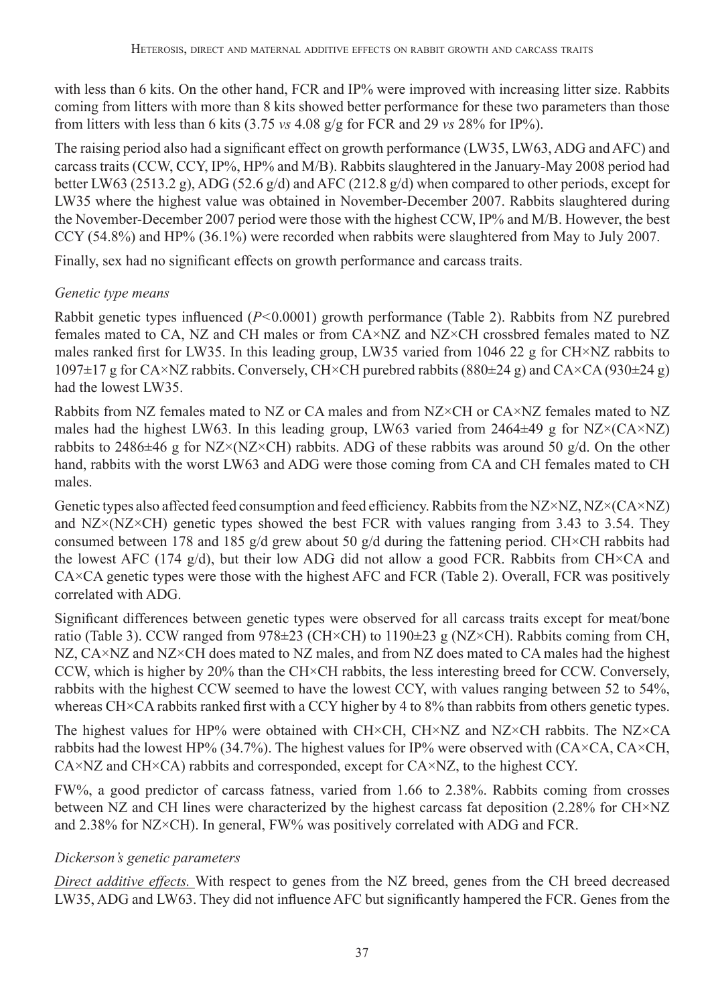with less than 6 kits. On the other hand, FCR and IP% were improved with increasing litter size. Rabbits coming from litters with more than 8 kits showed better performance for these two parameters than those from litters with less than 6 kits  $(3.75 \text{ vs } 4.08 \text{ g/g} \text{ for FCR and } 29 \text{ vs } 28\% \text{ for IP\%}).$ 

The raising period also had a significant effect on growth performance (LW35, LW63, ADG and AFC) and carcass traits (CCW, CCY, IP%, HP% and M/B). Rabbits slaughtered in the January-May 2008 period had better LW63 (2513.2 g), ADG (52.6 g/d) and AFC (212.8 g/d) when compared to other periods, except for LW35 where the highest value was obtained in November-December 2007. Rabbits slaughtered during the November-December 2007 period were those with the highest CCW, IP% and M/B. However, the best CCY (54.8%) and HP% (36.1%) were recorded when rabbits were slaughtered from May to July 2007.

Finally, sex had no significant effects on growth performance and carcass traits.

# *Genetic type means*

Rabbit genetic types influenced (*P<*0.0001) growth performance (Table 2). Rabbits from NZ purebred females mated to CA, NZ and CH males or from CA×NZ and NZ×CH crossbred females mated to NZ males ranked first for LW35. In this leading group, LW35 varied from 1046 22 g for CH×NZ rabbits to  $1097\pm17$  g for CA×NZ rabbits. Conversely, CH×CH purebred rabbits (880 $\pm$ 24 g) and CA×CA (930 $\pm$ 24 g) had the lowest LW35.

Rabbits from NZ females mated to NZ or CA males and from NZ×CH or CA×NZ females mated to NZ males had the highest LW63. In this leading group, LW63 varied from  $2464\pm49$  g for NZ×(CA×NZ) rabbits to 2486 $\pm$ 46 g for NZ×(NZ×CH) rabbits. ADG of these rabbits was around 50 g/d. On the other hand, rabbits with the worst LW63 and ADG were those coming from CA and CH females mated to CH males.

Genetic types also affected feed consumption and feed efficiency. Rabbits from the NZ×NZ, NZ×(CA×NZ) and NZ×(NZ×CH) genetic types showed the best FCR with values ranging from 3.43 to 3.54. They consumed between 178 and 185 g/d grew about 50 g/d during the fattening period. CH×CH rabbits had the lowest AFC (174  $g/d$ ), but their low ADG did not allow a good FCR. Rabbits from CH×CA and CA×CA genetic types were those with the highest AFC and FCR (Table 2). Overall, FCR was positively correlated with ADG.

Significant differences between genetic types were observed for all carcass traits except for meat/bone ratio (Table 3). CCW ranged from 978±23 (CH×CH) to 1190±23 g (NZ×CH). Rabbits coming from CH, NZ, CA×NZ and NZ×CH does mated to NZ males, and from NZ does mated to CA males had the highest CCW, which is higher by 20% than the CH×CH rabbits, the less interesting breed for CCW. Conversely, rabbits with the highest CCW seemed to have the lowest CCY, with values ranging between 52 to 54%, whereas CH×CA rabbits ranked first with a CCY higher by 4 to 8% than rabbits from others genetic types.

The highest values for HP% were obtained with CH×CH, CH×NZ and NZ×CH rabbits. The NZ×CA rabbits had the lowest HP% (34.7%). The highest values for IP% were observed with (CA×CA, CA×CH, CA×NZ and CH×CA) rabbits and corresponded, except for CA×NZ, to the highest CCY.

FW%, a good predictor of carcass fatness, varied from 1.66 to 2.38%. Rabbits coming from crosses between NZ and CH lines were characterized by the highest carcass fat deposition (2.28% for CH×NZ and 2.38% for NZ×CH). In general, FW% was positively correlated with ADG and FCR.

## *Dickerson's genetic parameters*

*Direct additive effects.* With respect to genes from the NZ breed, genes from the CH breed decreased LW35, ADG and LW63. They did not influence AFC but significantly hampered the FCR. Genes from the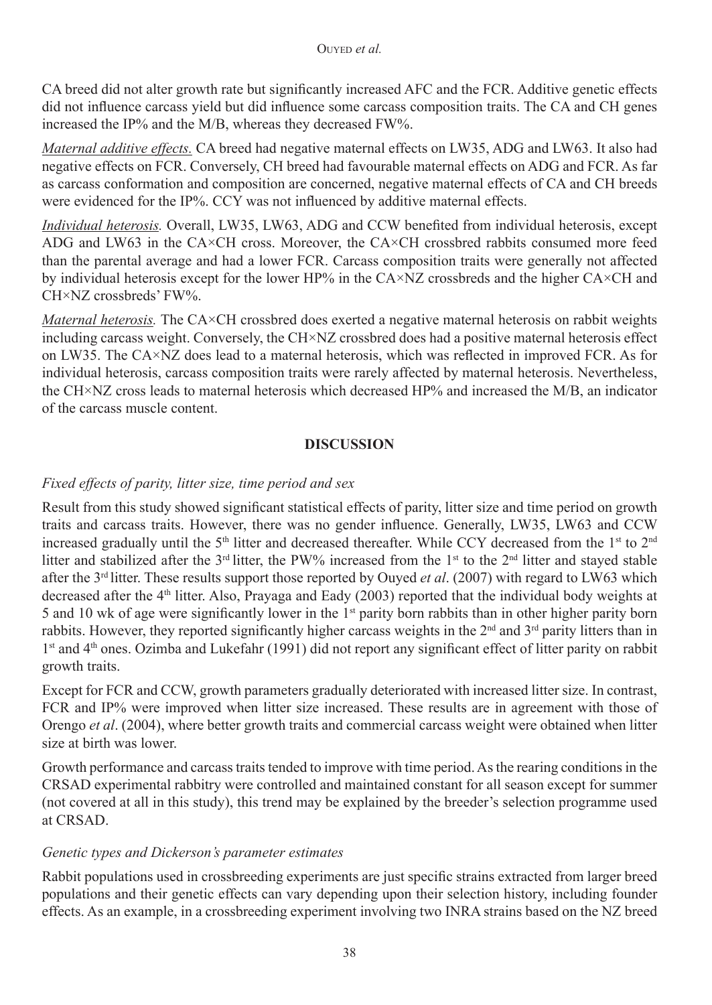CA breed did not alter growth rate but significantly increased AFC and the FCR. Additive genetic effects did not influence carcass yield but did influence some carcass composition traits. The CA and CH genes increased the IP% and the M/B, whereas they decreased FW%.

*Maternal additive effects.* CA breed had negative maternal effects on LW35, ADG and LW63. It also had negative effects on FCR. Conversely, CH breed had favourable maternal effects on ADG and FCR. As far as carcass conformation and composition are concerned, negative maternal effects of CA and CH breeds were evidenced for the IP%. CCY was not influenced by additive maternal effects.

*Individual heterosis.* Overall, LW35, LW63, ADG and CCW benefited from individual heterosis, except ADG and LW63 in the CA×CH cross. Moreover, the CA×CH crossbred rabbits consumed more feed than the parental average and had a lower FCR. Carcass composition traits were generally not affected by individual heterosis except for the lower HP% in the CA×NZ crossbreds and the higher CA×CH and CH×NZ crossbreds' FW%.

*Maternal heterosis.* The CA×CH crossbred does exerted a negative maternal heterosis on rabbit weights including carcass weight. Conversely, the CH×NZ crossbred does had a positive maternal heterosis effect on LW35. The CA×NZ does lead to a maternal heterosis, which was reflected in improved FCR. As for individual heterosis, carcass composition traits were rarely affected by maternal heterosis. Nevertheless, the CH×NZ cross leads to maternal heterosis which decreased HP% and increased the M/B, an indicator of the carcass muscle content.

## **DISCUSSION**

## *Fixed effects of parity, litter size, time period and sex*

Result from this study showed significant statistical effects of parity, litter size and time period on growth traits and carcass traits. However, there was no gender influence. Generally, LW35, LW63 and CCW increased gradually until the  $5<sup>th</sup>$  litter and decreased thereafter. While CCY decreased from the 1<sup>st</sup> to  $2<sup>nd</sup>$ litter and stabilized after the 3<sup>rd</sup> litter, the PW% increased from the 1<sup>st</sup> to the 2<sup>nd</sup> litter and stayed stable after the 3rd litter. These results support those reported by Ouyed *et al*. (2007) with regard to LW63 which decreased after the 4th litter. Also, Prayaga and Eady (2003) reported that the individual body weights at 5 and 10 wk of age were significantly lower in the  $1<sup>st</sup>$  parity born rabbits than in other higher parity born rabbits. However, they reported significantly higher carcass weights in the  $2<sup>nd</sup>$  and  $3<sup>rd</sup>$  parity litters than in 1<sup>st</sup> and 4<sup>th</sup> ones. Ozimba and Lukefahr (1991) did not report any significant effect of litter parity on rabbit growth traits.

Except for FCR and CCW, growth parameters gradually deteriorated with increased litter size. In contrast, FCR and IP% were improved when litter size increased. These results are in agreement with those of Orengo *et al*. (2004), where better growth traits and commercial carcass weight were obtained when litter size at birth was lower.

Growth performance and carcass traits tended to improve with time period. As the rearing conditions in the CRSAD experimental rabbitry were controlled and maintained constant for all season except for summer (not covered at all in this study), this trend may be explained by the breeder's selection programme used at CRSAD.

## *Genetic types and Dickerson's parameter estimates*

Rabbit populations used in crossbreeding experiments are just specific strains extracted from larger breed populations and their genetic effects can vary depending upon their selection history, including founder effects. As an example, in a crossbreeding experiment involving two INRA strains based on the NZ breed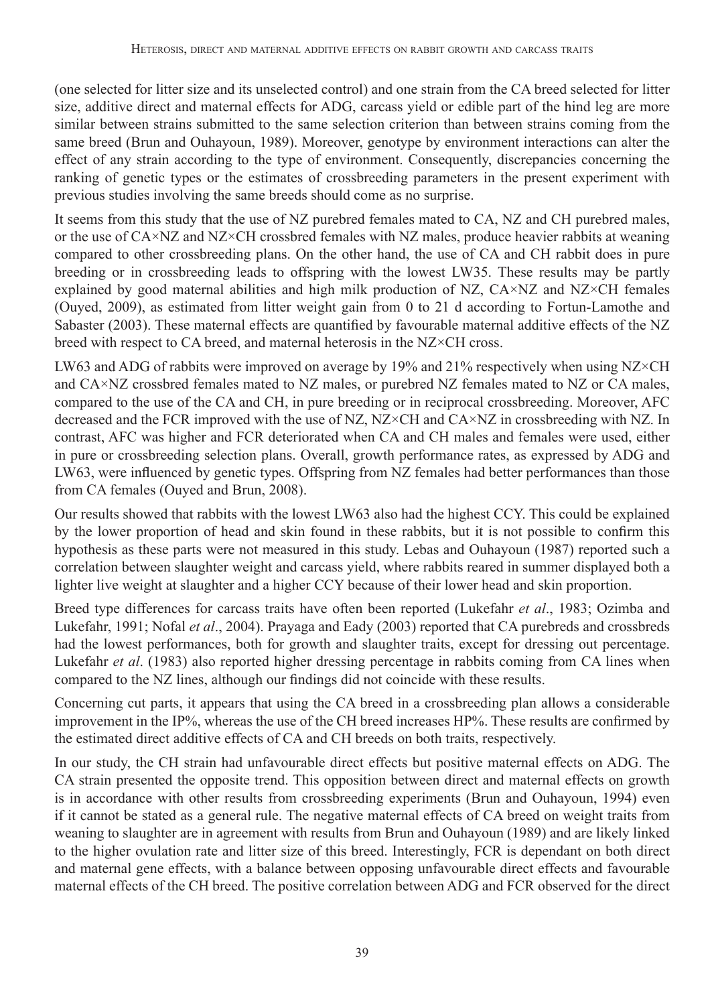(one selected for litter size and its unselected control) and one strain from the CA breed selected for litter size, additive direct and maternal effects for ADG, carcass yield or edible part of the hind leg are more similar between strains submitted to the same selection criterion than between strains coming from the same breed (Brun and Ouhayoun, 1989). Moreover, genotype by environment interactions can alter the effect of any strain according to the type of environment. Consequently, discrepancies concerning the ranking of genetic types or the estimates of crossbreeding parameters in the present experiment with previous studies involving the same breeds should come as no surprise.

It seems from this study that the use of NZ purebred females mated to CA, NZ and CH purebred males, or the use of CA×NZ and NZ×CH crossbred females with NZ males, produce heavier rabbits at weaning compared to other crossbreeding plans. On the other hand, the use of CA and CH rabbit does in pure breeding or in crossbreeding leads to offspring with the lowest LW35. These results may be partly explained by good maternal abilities and high milk production of NZ,  $CA \times NZ$  and NZ $\times CH$  females (Ouyed, 2009), as estimated from litter weight gain from 0 to 21 d according to Fortun-Lamothe and Sabaster (2003). These maternal effects are quantified by favourable maternal additive effects of the NZ breed with respect to CA breed, and maternal heterosis in the NZ×CH cross.

LW63 and ADG of rabbits were improved on average by 19% and 21% respectively when using  $NZ \times CH$ and CA×NZ crossbred females mated to NZ males, or purebred NZ females mated to NZ or CA males, compared to the use of the CA and CH, in pure breeding or in reciprocal crossbreeding. Moreover, AFC decreased and the FCR improved with the use of NZ, NZ×CH and CA×NZ in crossbreeding with NZ. In contrast, AFC was higher and FCR deteriorated when CA and CH males and females were used, either in pure or crossbreeding selection plans. Overall, growth performance rates, as expressed by ADG and LW63, were influenced by genetic types. Offspring from NZ females had better performances than those from CA females (Ouyed and Brun, 2008).

Our results showed that rabbits with the lowest LW63 also had the highest CCY. This could be explained by the lower proportion of head and skin found in these rabbits, but it is not possible to confirm this hypothesis as these parts were not measured in this study. Lebas and Ouhayoun (1987) reported such a correlation between slaughter weight and carcass yield, where rabbits reared in summer displayed both a lighter live weight at slaughter and a higher CCY because of their lower head and skin proportion.

Breed type differences for carcass traits have often been reported (Lukefahr *et al*., 1983; Ozimba and Lukefahr, 1991; Nofal *et al*., 2004). Prayaga and Eady (2003) reported that CA purebreds and crossbreds had the lowest performances, both for growth and slaughter traits, except for dressing out percentage. Lukefahr *et al*. (1983) also reported higher dressing percentage in rabbits coming from CA lines when compared to the NZ lines, although our findings did not coincide with these results.

Concerning cut parts, it appears that using the CA breed in a crossbreeding plan allows a considerable improvement in the IP%, whereas the use of the CH breed increases HP%. These results are confirmed by the estimated direct additive effects of CA and CH breeds on both traits, respectively.

In our study, the CH strain had unfavourable direct effects but positive maternal effects on ADG. The CA strain presented the opposite trend. This opposition between direct and maternal effects on growth is in accordance with other results from crossbreeding experiments (Brun and Ouhayoun, 1994) even if it cannot be stated as a general rule. The negative maternal effects of CA breed on weight traits from weaning to slaughter are in agreement with results from Brun and Ouhayoun (1989) and are likely linked to the higher ovulation rate and litter size of this breed. Interestingly, FCR is dependant on both direct and maternal gene effects, with a balance between opposing unfavourable direct effects and favourable maternal effects of the CH breed. The positive correlation between ADG and FCR observed for the direct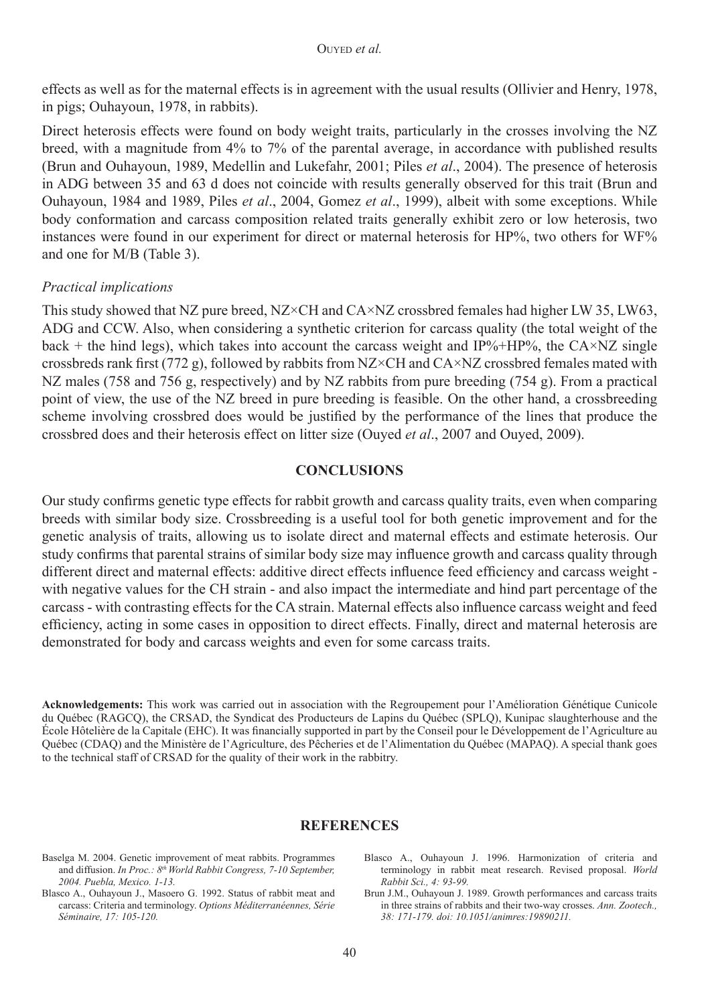effects as well as for the maternal effects is in agreement with the usual results (Ollivier and Henry, 1978, in pigs; Ouhayoun, 1978, in rabbits).

Direct heterosis effects were found on body weight traits, particularly in the crosses involving the NZ breed, with a magnitude from 4% to 7% of the parental average, in accordance with published results (Brun and Ouhayoun, 1989, Medellin and Lukefahr, 2001; Piles *et al*., 2004). The presence of heterosis in ADG between 35 and 63 d does not coincide with results generally observed for this trait (Brun and Ouhayoun, 1984 and 1989, Piles *et al*., 2004, Gomez *et al*., 1999), albeit with some exceptions. While body conformation and carcass composition related traits generally exhibit zero or low heterosis, two instances were found in our experiment for direct or maternal heterosis for HP%, two others for WF% and one for M/B (Table 3).

### *Practical implications*

This study showed that NZ pure breed, NZ×CH and CA×NZ crossbred females had higher LW 35, LW63, ADG and CCW. Also, when considering a synthetic criterion for carcass quality (the total weight of the back + the hind legs), which takes into account the carcass weight and IP%+HP%, the CA $\times$ NZ single crossbreds rank first (772 g), followed by rabbits from  $NZ \times CH$  and  $C A \times NZ$  crossbred females mated with NZ males (758 and 756 g, respectively) and by NZ rabbits from pure breeding (754 g). From a practical point of view, the use of the NZ breed in pure breeding is feasible. On the other hand, a crossbreeding scheme involving crossbred does would be justified by the performance of the lines that produce the crossbred does and their heterosis effect on litter size (Ouyed *et al*., 2007 and Ouyed, 2009).

#### **CONCLUSIONS**

Our study confirms genetic type effects for rabbit growth and carcass quality traits, even when comparing breeds with similar body size. Crossbreeding is a useful tool for both genetic improvement and for the genetic analysis of traits, allowing us to isolate direct and maternal effects and estimate heterosis. Our study confirms that parental strains of similar body size may influence growth and carcass quality through different direct and maternal effects: additive direct effects influence feed efficiency and carcass weight with negative values for the CH strain - and also impact the intermediate and hind part percentage of the carcass - with contrasting effects for the CA strain. Maternal effects also influence carcass weight and feed efficiency, acting in some cases in opposition to direct effects. Finally, direct and maternal heterosis are demonstrated for body and carcass weights and even for some carcass traits.

**Acknowledgements:** This work was carried out in association with the Regroupement pour l'Amélioration Génétique Cunicole du Québec (RAGCQ), the CRSAD, the Syndicat des Producteurs de Lapins du Québec (SPLQ), Kunipac slaughterhouse and the École Hôtelière de la Capitale (EHC). It was financially supported in part by the Conseil pour le Développement de l'Agriculture au Québec (CDAQ) and the Ministère de l'Agriculture, des Pêcheries et de l'Alimentation du Québec (MAPAQ). A special thank goes to the technical staff of CRSAD for the quality of their work in the rabbitry.

#### **REFERENCES**

- Baselga M. 2004. Genetic improvement of meat rabbits. Programmes and diffusion. *In Proc.: 8<sup>th</sup> World Rabbit Congress, 7-10 September, 2004. Puebla, Mexico. 1-13.*
- Blasco A., Ouhayoun J., Masoero G. 1992. Status of rabbit meat and carcass: Criteria and terminology. *Options Méditerranéennes, Série Séminaire, 17: 105-120.*
- Blasco A., Ouhayoun J. 1996. Harmonization of criteria and terminology in rabbit meat research. Revised proposal. *World Rabbit Sci., 4: 93-99.*
- Brun J.M., Ouhayoun J. 1989. Growth performances and carcass traits in three strains of rabbits and their two-way crosses. *Ann. Zootech., 38: 171-179. doi: 10.1051/animres:19890211.*